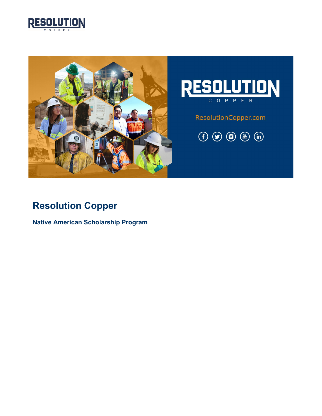







# **Resolution Copper**

**Native American Scholarship Program**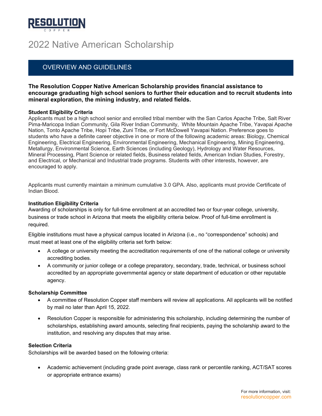

# 2022 Native American Scholarship

### OVERVIEW AND GUIDELINES

#### **The Resolution Copper Native American Scholarship provides financial assistance to encourage graduating high school seniors to further their education and to recruit students into mineral exploration, the mining industry, and related fields.**

#### **Student Eligibility Criteria**

Applicants must be a high school senior and enrolled tribal member with the San Carlos Apache Tribe, Salt River Pima-Maricopa Indian Community, Gila River Indian Community, White Mountain Apache Tribe, Yavapai Apache Nation, Tonto Apache Tribe, Hopi Tribe, Zuni Tribe, or Fort McDowell Yavapai Nation. Preference goes to students who have a definite career objective in one or more of the following academic areas: Biology, Chemical Engineering, Electrical Engineering, Environmental Engineering, Mechanical Engineering, Mining Engineering, Metallurgy, Environmental Science, Earth Sciences (including Geology), Hydrology and Water Resources, Mineral Processing, Plant Science or related fields, Business related fields, American Indian Studies, Forestry, and Electrical, or Mechanical and Industrial trade programs. Students with other interests, however, are encouraged to apply.

Applicants must currently maintain a minimum cumulative 3.0 GPA. Also, applicants must provide Certificate of Indian Blood.

#### **Institution Eligibility Criteria**

Awarding of scholarships is only for full-time enrollment at an accredited two or four-year college, university, business or trade school in Arizona that meets the eligibility criteria below. Proof of full-time enrollment is required.

Eligible institutions must have a physical campus located in Arizona (i.e., no "correspondence" schools) and must meet at least one of the eligibility criteria set forth below:

- A college or university meeting the accreditation requirements of one of the national college or university accrediting bodies.
- A community or junior college or a college preparatory, secondary, trade, technical, or business school accredited by an appropriate governmental agency or state department of education or other reputable agency.

#### **Scholarship Committee**

- A committee of Resolution Copper staff members will review all applications. All applicants will be notified by mail no later than April 15, 2022.
- Resolution Copper is responsible for administering this scholarship, including determining the number of scholarships, establishing award amounts, selecting final recipients, paying the scholarship award to the institution, and resolving any disputes that may arise.

#### **Selection Criteria**

Scholarships will be awarded based on the following criteria:

• Academic achievement (including grade point average, class rank or percentile ranking, ACT/SAT scores or appropriate entrance exams)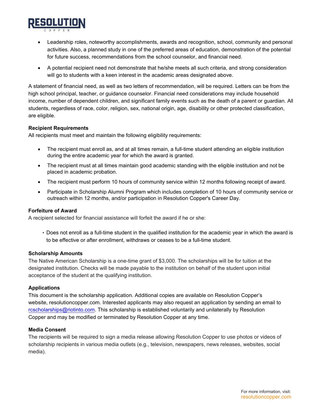

- Leadership roles, noteworthy accomplishments, awards and recognition, school, community and personal activities. Also, a planned study in one of the preferred areas of education, demonstration of the potential for future success, recommendations from the school counselor, and financial need.
- A potential recipient need not demonstrate that he/she meets all such criteria, and strong consideration will go to students with a keen interest in the academic areas designated above.

A statement of financial need, as well as two letters of recommendation, will be required. Letters can be from the high school principal, teacher, or guidance counselor. Financial need considerations may include household income, number of dependent children, and significant family events such as the death of a parent or guardian. All students, regardless of race, color, religion, sex, national origin, age, disability or other protected classification, are eligible.

#### **Recipient Requirements**

All recipients must meet and maintain the following eligibility requirements:

- The recipient must enroll as, and at all times remain, a full-time student attending an eligible institution during the entire academic year for which the award is granted.
- The recipient must at all times maintain good academic standing with the eligible institution and not be placed in academic probation.
- The recipient must perform 10 hours of community service within 12 months following receipt of award.
- Participate in Scholarship Alumni Program which includes completion of 10 hours of community service or outreach within 12 months, and/or participation in Resolution Copper's Career Day.

#### **Forfeiture of Award**

A recipient selected for financial assistance will forfeit the award if he or she:

• Does not enroll as a full-time student in the qualified institution for the academic year in which the award is to be effective or after enrollment, withdraws or ceases to be a full-time student.

#### **Scholarship Amounts**

The Native American Scholarship is a one-time grant of \$3,000. The scholarships will be for tuition at the designated institution. Checks will be made payable to the institution on behalf of the student upon initial acceptance of the student at the qualifying institution.

#### **Applications**

This document is the scholarship application. Additional copies are available on Resolution Copper's website, resolutioncopper.com. Interested applicants may also request an application by sending an email to [rcscholarships@riotinto.com](mailto:melissa.rabago@resolutioncopper.com). This scholarship is established voluntarily and unilaterally by Resolution Copper and may be modified or terminated by Resolution Copper at any time.

#### **Media Consent**

The recipients will be required to sign a media release allowing Resolution Copper to use photos or videos of scholarship recipients in various media outlets (e.g., television, newspapers, news releases, websites, social media).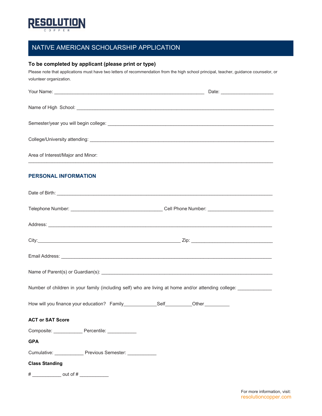

## NATIVE AMERICAN SCHOLARSHIP APPLICATION

#### **To be completed by applicant (please print or type)**

Please note that applications must have two letters of recommendation from the high school principal, teacher, guidance counselor, or volunteer organization.

|                                                              | Date: _________________________                                                                                |
|--------------------------------------------------------------|----------------------------------------------------------------------------------------------------------------|
|                                                              |                                                                                                                |
|                                                              |                                                                                                                |
|                                                              |                                                                                                                |
| Area of Interest/Major and Minor:                            |                                                                                                                |
| PERSONAL INFORMATION                                         |                                                                                                                |
|                                                              |                                                                                                                |
|                                                              |                                                                                                                |
|                                                              |                                                                                                                |
|                                                              |                                                                                                                |
|                                                              |                                                                                                                |
|                                                              |                                                                                                                |
|                                                              | Number of children in your family (including self) who are living at home and/or attending college: __________ |
|                                                              |                                                                                                                |
| <b>ACT or SAT Score</b>                                      |                                                                                                                |
| Composite: ________________ Percentile: ____________         |                                                                                                                |
| <b>GPA</b>                                                   |                                                                                                                |
| Cumulative: _______________ Previous Semester: _____________ |                                                                                                                |
| <b>Class Standing</b>                                        |                                                                                                                |
| out of #<br>#                                                |                                                                                                                |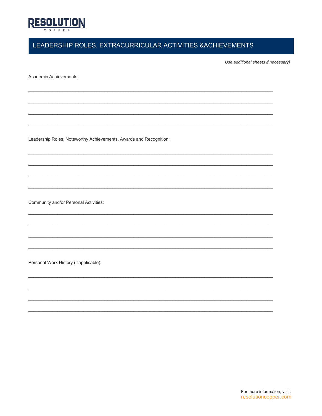

# LEADERSHIP ROLES, EXTRACURRICULAR ACTIVITIES & ACHIEVEMENTS

Use additional sheets if necessary)

Academic Achievements:

Leadership Roles, Noteworthy Achievements, Awards and Recognition:

Community and/or Personal Activities:

Personal Work History (if applicable):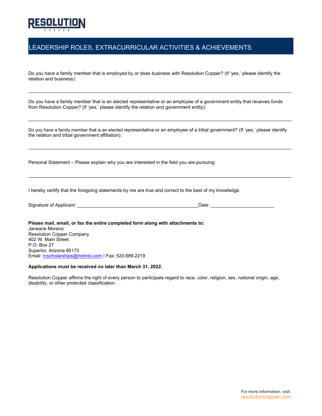

### LEADERSHIP ROLES, EXTRACURRICULAR ACTIVITIES & ACHIEVEMENTS

Do you have a family member that is employed by or does business with Resolution Copper? (If 'yes,' please identify the relation and business):

Do you have a family member that is an elected representative or an employee of a government entity that receives funds from Resolution Copper? (If 'yes,' please identify the relation and government entity):

 $\ldots$  . The contribution of the contribution of the contribution of the contribution of the contribution of the contribution of the contribution of the contribution of the contribution of the contribution of the contribut

Do you have a family member that is an elected representative or an employee of a tribal government? (If 'yes,' please identify the relation and tribal government affiliation):

\_\_\_\_\_\_\_\_\_\_\_\_\_\_\_\_\_\_\_\_\_\_\_\_\_\_\_\_\_\_\_\_\_\_\_\_\_\_\_\_\_\_\_\_\_\_\_\_\_\_\_\_\_\_\_\_\_\_\_\_\_\_\_\_\_\_\_\_\_\_\_\_\_\_\_\_\_\_\_\_\_\_\_\_\_\_\_\_\_\_\_\_\_\_\_\_\_\_\_\_

\_\_\_\_\_\_\_\_\_\_\_\_\_\_\_\_\_\_\_\_\_\_\_\_\_\_\_\_\_\_\_\_\_\_\_\_\_\_\_\_\_\_\_\_\_\_\_\_\_\_\_\_\_\_\_\_\_\_\_\_\_\_\_\_\_\_\_\_\_\_\_\_\_\_\_\_\_\_\_\_\_\_\_\_\_\_\_\_\_\_\_\_\_\_\_\_\_\_\_\_

 $\ldots$  . The contribution of the contribution of the contribution of the contribution of the contribution of the contribution of the contribution of the contribution of the contribution of the contribution of the contribut

Personal Statement – Please explain why you are interested in the field you are pursuing:

I hereby certify that the foregoing statements by me are true and correct to the best of my knowledge.

| Signature of Applicant: |  |  |
|-------------------------|--|--|
|                         |  |  |

**Please mail, email, or fax the entire completed form along with attachments to:**  Janeane Moreno Resolution Copper Company 402 W. Main Street P.O. Box 27 Superior, Arizona 85173 Email: [rcscholarships@riotinto.com](mailto:melissa.rabago@resolutioncopper.com) | Fax: 520.689.2219

#### **Applications must be received no later than March 31, 2022.**

Resolution Copper affirms the right of every person to participate regard to race, color, religion, sex, national origin, age, disability, or other protected classification.

Signature of Applicant: \_\_\_\_\_\_\_\_\_\_\_\_\_\_\_\_\_\_\_\_\_\_\_\_\_\_\_\_\_\_\_\_\_\_\_\_\_\_\_\_\_\_\_\_\_\_Date: \_\_\_\_\_\_\_\_\_\_\_\_\_\_\_\_\_\_\_\_\_\_\_\_